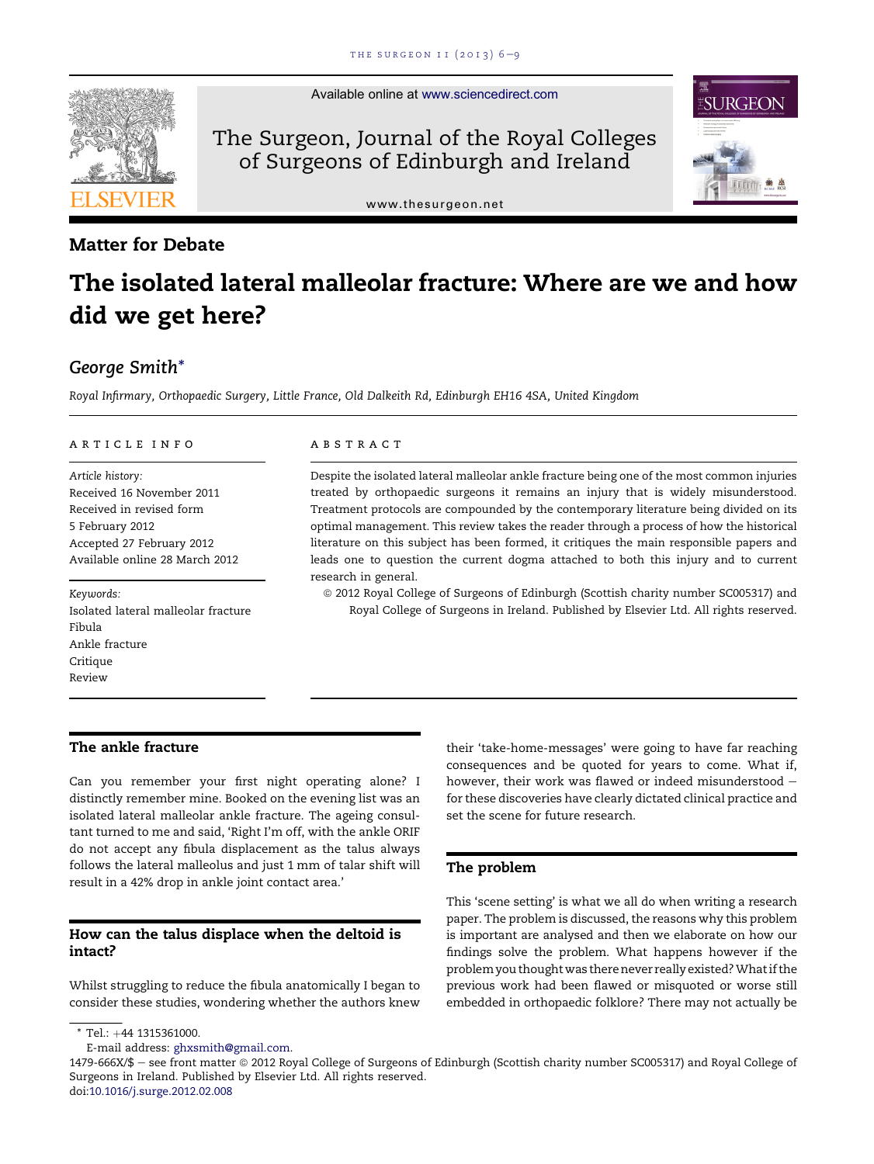

Matter for Debate

Available online at [www.sciencedirect.com](www.sciencedirect.com/science/journal/1479666X)

The Surgeon, Journal of the Royal Colleges of Surgeons of Edinburgh and Ireland



<www.thesurgeon.net>

# The isolated lateral malleolar fracture: Where are we and how did we get here?

مر<br>Royal Infirmary, Orthopaedic Surgery, Little France, Old Dalkeith Rd, Edinburgh EH16 4SA, United Kingdom

#### article info

Article history: Received 16 November 2011 Received in revised form 5 February 2012 Accepted 27 February 2012 Available online 28 March 2012

Keywords: Isolated lateral malleolar fracture Fibula Ankle fracture Critique Review

#### abstract

Despite the isolated lateral malleolar ankle fracture being one of the most common injuries treated by orthopaedic surgeons it remains an injury that is widely misunderstood. Treatment protocols are compounded by the contemporary literature being divided on its optimal management. This review takes the reader through a process of how the historical literature on this subject has been formed, it critiques the main responsible papers and leads one to question the current dogma attached to both this injury and to current research in general.

ª 2012 Royal College of Surgeons of Edinburgh (Scottish charity number SC005317) and Royal College of Surgeons in Ireland. Published by Elsevier Ltd. All rights reserved.

# The ankle fracture

Can you remember your first night operating alone? I distinctly remember mine. Booked on the evening list was an isolated lateral malleolar ankle fracture. The ageing consultant turned to me and said, 'Right I'm off, with the ankle ORIF do not accept any fibula displacement as the talus always follows the lateral malleolus and just 1 mm of talar shift will result in a 42% drop in ankle joint contact area.'

# How can the talus displace when the deltoid is intact?

Whilst struggling to reduce the fibula anatomically I began to consider these studies, wondering whether the authors knew

E-mail address: [ghxsmith@gmail.com.](mailto:ghxsmith@gmail.com)

their 'take-home-messages' were going to have far reaching consequences and be quoted for years to come. What if, however, their work was flawed or indeed misunderstood  $$ for these discoveries have clearly dictated clinical practice and set the scene for future research.

# The problem

This 'scene setting' is what we all do when writing a research paper. The problem is discussed, the reasons why this problem is important are analysed and then we elaborate on how our findings solve the problem. What happens however if the problem you thoughtwas therenever really existed?What if the previous work had been flawed or misquoted or worse still embedded in orthopaedic folklore? There may not actually be

 $*$  Tel.:  $+44$  1315361000.

<sup>1479-666</sup>X/\$ - see front matter © 2012 Royal College of Surgeons of Edinburgh (Scottish charity number SC005317) and Royal College of Surgeons in Ireland. Published by Elsevier Ltd. All rights reserved. doi:[10.1016/j.surge.2012.02.008](http://dx.doi.org/10.1016/j.surge.2012.02.008)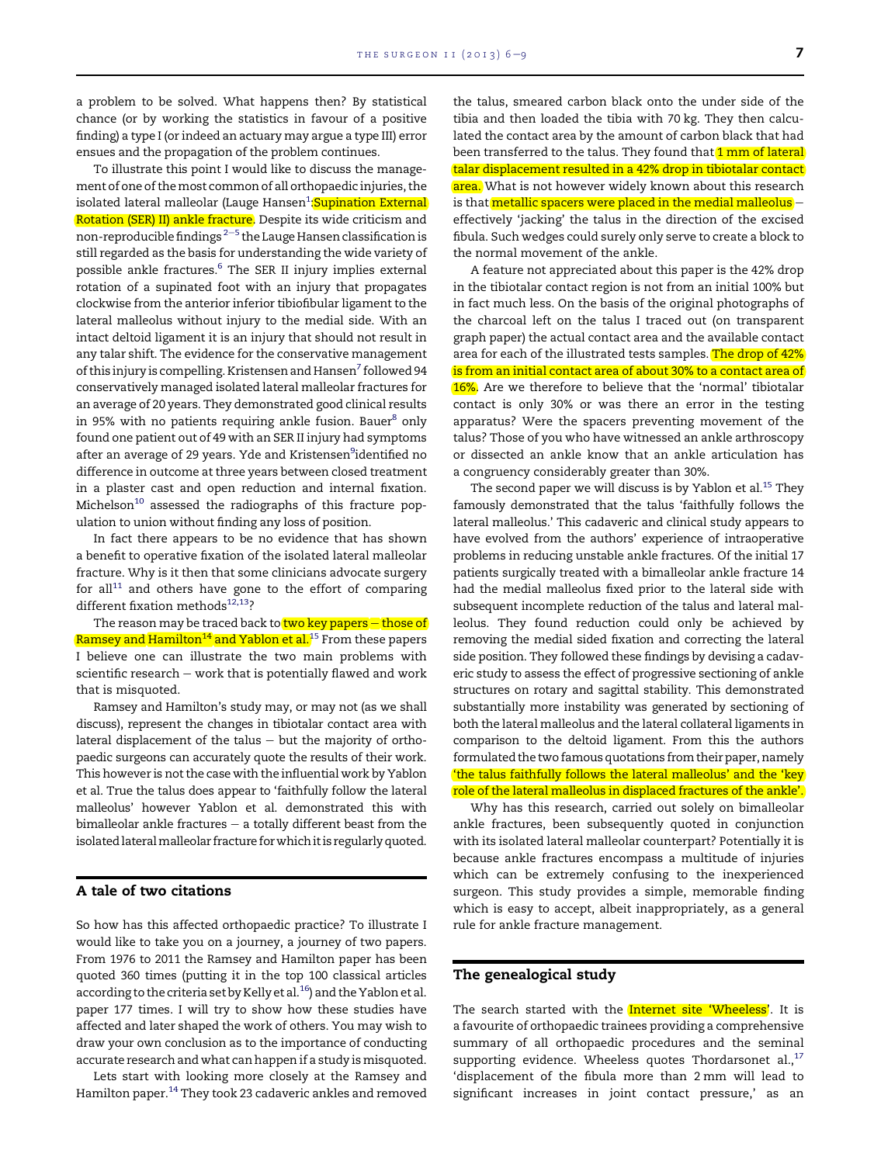a problem to be solved. What happens then? By statistical chance (or by working the statistics in favour of a positive finding) a type I (or indeed an actuary may argue a type III) error ensues and the propagation of the problem continues.

To illustrate this point I would like to discuss the management of one of themost common of all orthopaedic injuries, the isolated lateral malleolar (Lauge Hansen<sup>[1](#page-3-0)</sup>:<mark>Supination External</mark> Rotation (SER) II) ankle fracture. Despite its wide criticism and non-reproducible findings  $2-5$  $2-5$  $2-5$  the Lauge Hansen classification is still regarded as the basis for understanding the wide variety of possible ankle fractures[.6](#page-3-0) The SER II injury implies external rotation of a supinated foot with an injury that propagates clockwise from the anterior inferior tibiofibular ligament to the lateral malleolus without injury to the medial side. With an intact deltoid ligament it is an injury that should not result in any talar shift. The evidence for the conservative management of this injury is compelling. Kristensen and Hansen<sup>7</sup> followed 94 conservatively managed isolated lateral malleolar fractures for an average of 20 years. They demonstrated good clinical results in 95% with no patients requiring ankle fusion. Bauer $^8$  only found one patient out of 49 with an SER II injury had symptoms after an average of 2[9](#page-3-0) years. Yde and Kristensen<sup>9</sup>identified no difference in outcome at three years between closed treatment in a plaster cast and open reduction and internal fixation. Michelson<sup>[10](#page-3-0)</sup> assessed the radiographs of this fracture population to union without finding any loss of position.

In fact there appears to be no evidence that has shown a benefit to operative fixation of the isolated lateral malleolar fracture. Why is it then that some clinicians advocate surgery for all $11$  and others have gone to the effort of comparing different fixation methods $12,13$ ?

The reason may be traced back to two key papers - those of Ramsey and Hamilton<sup>[14](#page-3-0)</sup> and Yablon et al.<sup>[15](#page-3-0)</sup> From these papers I believe one can illustrate the two main problems with scientific research  $-$  work that is potentially flawed and work that is misquoted.

Ramsey and Hamilton's study may, or may not (as we shall discuss), represent the changes in tibiotalar contact area with lateral displacement of the talus  $-$  but the majority of orthopaedic surgeons can accurately quote the results of their work. This however is not the case with the influential work by Yablon et al. True the talus does appear to 'faithfully follow the lateral malleolus' however Yablon et al. demonstrated this with bimalleolar ankle fractures  $-$  a totally different beast from the isolated lateral malleolar fracture for which it is regularly quoted.

# A tale of two citations

So how has this affected orthopaedic practice? To illustrate I would like to take you on a journey, a journey of two papers. From 1976 to 2011 the Ramsey and Hamilton paper has been quoted 360 times (putting it in the top 100 classical articles according to the criteria set by Kelly et al.<sup>16</sup>) and the Yablon et al. paper 177 times. I will try to show how these studies have affected and later shaped the work of others. You may wish to draw your own conclusion as to the importance of conducting accurate research and what can happen if a study is misquoted.

Lets start with looking more closely at the Ramsey and Hamilton paper.<sup>[14](#page-3-0)</sup> They took 23 cadaveric ankles and removed

the talus, smeared carbon black onto the under side of the tibia and then loaded the tibia with 70 kg. They then calculated the contact area by the amount of carbon black that had been transferred to the talus. They found that 1 mm of lateral talar displacement resulted in a 42% drop in tibiotalar contact area. What is not however widely known about this research is that metallic spacers were placed in the medial malleolus effectively 'jacking' the talus in the direction of the excised fibula. Such wedges could surely only serve to create a block to the normal movement of the ankle.

A feature not appreciated about this paper is the 42% drop in the tibiotalar contact region is not from an initial 100% but in fact much less. On the basis of the original photographs of the charcoal left on the talus I traced out (on transparent graph paper) the actual contact area and the available contact area for each of the illustrated tests samples. The drop of 42% is from an initial contact area of about 30% to a contact area of 16%. Are we therefore to believe that the 'normal' tibiotalar contact is only 30% or was there an error in the testing apparatus? Were the spacers preventing movement of the talus? Those of you who have witnessed an ankle arthroscopy or dissected an ankle know that an ankle articulation has a congruency considerably greater than 30%.

The second paper we will discuss is by Yablon et al.<sup>15</sup> They famously demonstrated that the talus 'faithfully follows the lateral malleolus.' This cadaveric and clinical study appears to have evolved from the authors' experience of intraoperative problems in reducing unstable ankle fractures. Of the initial 17 patients surgically treated with a bimalleolar ankle fracture 14 had the medial malleolus fixed prior to the lateral side with subsequent incomplete reduction of the talus and lateral malleolus. They found reduction could only be achieved by removing the medial sided fixation and correcting the lateral side position. They followed these findings by devising a cadaveric study to assess the effect of progressive sectioning of ankle structures on rotary and sagittal stability. This demonstrated substantially more instability was generated by sectioning of both the lateral malleolus and the lateral collateral ligaments in comparison to the deltoid ligament. From this the authors formulated the two famous quotations from their paper, namely 'the talus faithfully follows the lateral malleolus' and the 'key role of the lateral malleolus in displaced fractures of the ankle'.

Why has this research, carried out solely on bimalleolar ankle fractures, been subsequently quoted in conjunction with its isolated lateral malleolar counterpart? Potentially it is because ankle fractures encompass a multitude of injuries which can be extremely confusing to the inexperienced surgeon. This study provides a simple, memorable finding which is easy to accept, albeit inappropriately, as a general rule for ankle fracture management.

# The genealogical study

The search started with the *Internet site 'Wheeless'*. It is a favourite of orthopaedic trainees providing a comprehensive summary of all orthopaedic procedures and the seminal supporting evidence. Wheeless quotes Thordarsonet al., $17$ 'displacement of the fibula more than 2 mm will lead to significant increases in joint contact pressure,' as an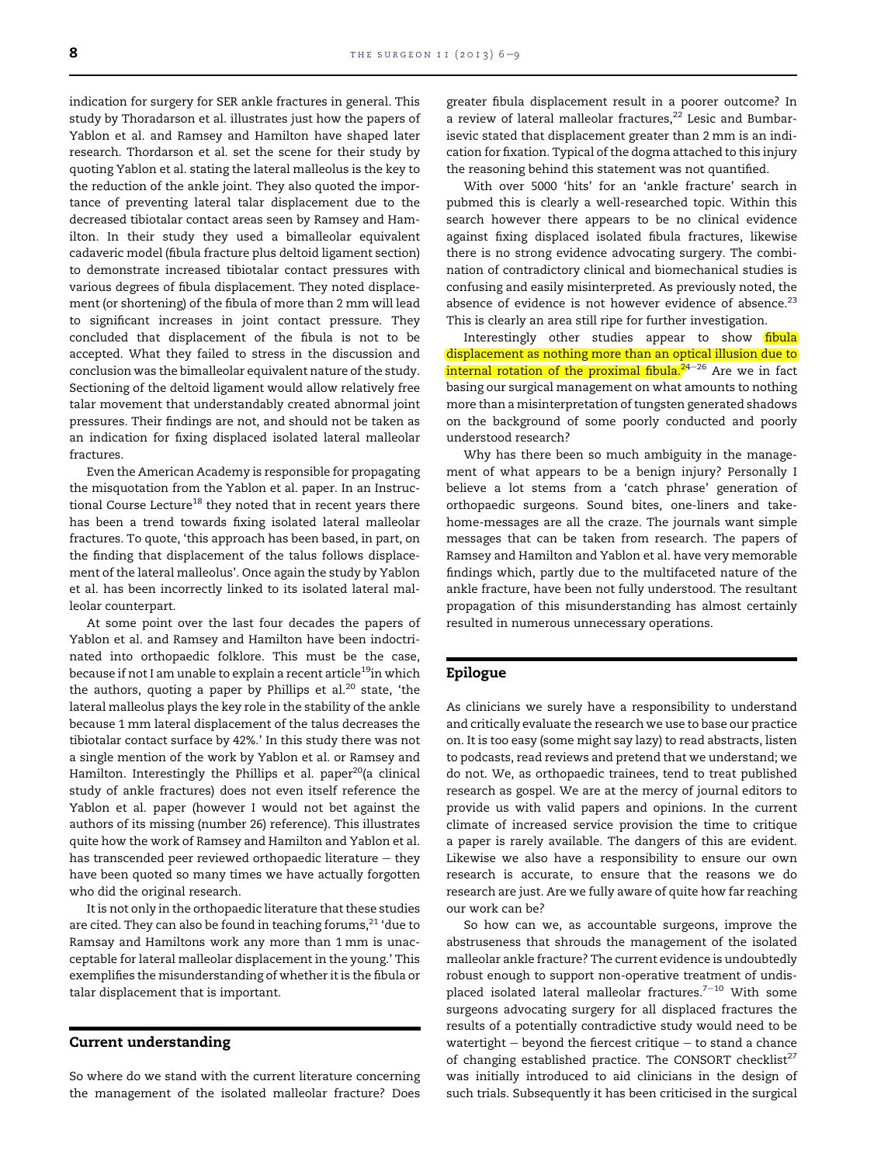indication for surgery for SER ankle fractures in general. This study by Thoradarson et al. illustrates just how the papers of Yablon et al. and Ramsey and Hamilton have shaped later research. Thordarson et al. set the scene for their study by quoting Yablon et al. stating the lateral malleolus is the key to the reduction of the ankle joint. They also quoted the importance of preventing lateral talar displacement due to the decreased tibiotalar contact areas seen by Ramsey and Hamilton. In their study they used a bimalleolar equivalent cadaveric model (fibula fracture plus deltoid ligament section) to demonstrate increased tibiotalar contact pressures with various degrees of fibula displacement. They noted displacement (or shortening) of the fibula of more than 2 mm will lead to significant increases in joint contact pressure. They concluded that displacement of the fibula is not to be accepted. What they failed to stress in the discussion and conclusion was the bimalleolar equivalent nature of the study. Sectioning of the deltoid ligament would allow relatively free talar movement that understandably created abnormal joint pressures. Their findings are not, and should not be taken as an indication for fixing displaced isolated lateral malleolar fractures.

Even the American Academy is responsible for propagating the misquotation from the Yablon et al. paper. In an Instructional Course Lecture<sup>18</sup> they noted that in recent years there has been a trend towards fixing isolated lateral malleolar fractures. To quote, 'this approach has been based, in part, on the finding that displacement of the talus follows displacement of the lateral malleolus'. Once again the study by Yablon et al. has been incorrectly linked to its isolated lateral malleolar counterpart.

At some point over the last four decades the papers of Yablon et al. and Ramsey and Hamilton have been indoctrinated into orthopaedic folklore. This must be the case, because if not I am unable to explain a recent article<sup>19</sup>in which the authors, quoting a paper by Phillips et al. $^{20}$  $^{20}$  $^{20}$  state, 'the lateral malleolus plays the key role in the stability of the ankle because 1 mm lateral displacement of the talus decreases the tibiotalar contact surface by 42%.' In this study there was not a single mention of the work by Yablon et al. or Ramsey and Hamilton. Interestingly the Phillips et al. paper<sup>[20](#page-3-0)</sup>(a clinical study of ankle fractures) does not even itself reference the Yablon et al. paper (however I would not bet against the authors of its missing (number 26) reference). This illustrates quite how the work of Ramsey and Hamilton and Yablon et al. has transcended peer reviewed orthopaedic literature  $-$  they have been quoted so many times we have actually forgotten who did the original research.

It is not only in the orthopaedic literature that these studies are cited. They can also be found in teaching forums, $21$  'due to Ramsay and Hamiltons work any more than 1 mm is unacceptable for lateral malleolar displacement in the young.' This exemplifies the misunderstanding of whether it is the fibula or talar displacement that is important.

## Current understanding

So where do we stand with the current literature concerning the management of the isolated malleolar fracture? Does greater fibula displacement result in a poorer outcome? In a review of lateral malleolar fractures, $22$  Lesic and Bumbarisevic stated that displacement greater than 2 mm is an indication for fixation. Typical of the dogma attached to this injury the reasoning behind this statement was not quantified.

With over 5000 'hits' for an 'ankle fracture' search in pubmed this is clearly a well-researched topic. Within this search however there appears to be no clinical evidence against fixing displaced isolated fibula fractures, likewise there is no strong evidence advocating surgery. The combination of contradictory clinical and biomechanical studies is confusing and easily misinterpreted. As previously noted, the absence of evidence is not however evidence of absence. $23$ This is clearly an area still ripe for further investigation.

Interestingly other studies appear to show fibula displacement as nothing more than an optical illusion due to internal rotation of the proximal fibula. $2^{4-26}$  $2^{4-26}$  $2^{4-26}$  Are we in fact basing our surgical management on what amounts to nothing more than a misinterpretation of tungsten generated shadows on the background of some poorly conducted and poorly understood research?

Why has there been so much ambiguity in the management of what appears to be a benign injury? Personally I believe a lot stems from a 'catch phrase' generation of orthopaedic surgeons. Sound bites, one-liners and takehome-messages are all the craze. The journals want simple messages that can be taken from research. The papers of Ramsey and Hamilton and Yablon et al. have very memorable findings which, partly due to the multifaceted nature of the ankle fracture, have been not fully understood. The resultant propagation of this misunderstanding has almost certainly resulted in numerous unnecessary operations.

#### Epilogue

As clinicians we surely have a responsibility to understand and critically evaluate the research we use to base our practice on. It is too easy (some might say lazy) to read abstracts, listen to podcasts, read reviews and pretend that we understand; we do not. We, as orthopaedic trainees, tend to treat published research as gospel. We are at the mercy of journal editors to provide us with valid papers and opinions. In the current climate of increased service provision the time to critique a paper is rarely available. The dangers of this are evident. Likewise we also have a responsibility to ensure our own research is accurate, to ensure that the reasons we do research are just. Are we fully aware of quite how far reaching our work can be?

So how can we, as accountable surgeons, improve the abstruseness that shrouds the management of the isolated malleolar ankle fracture? The current evidence is undoubtedly robust enough to support non-operative treatment of undisplaced isolated lateral malleolar fractures. $7-10$  $7-10$  With some surgeons advocating surgery for all displaced fractures the results of a potentially contradictive study would need to be watertight  $-$  beyond the fiercest critique  $-$  to stand a chance of changing established practice. The CONSORT checklist<sup>[27](#page-3-0)</sup> was initially introduced to aid clinicians in the design of such trials. Subsequently it has been criticised in the surgical